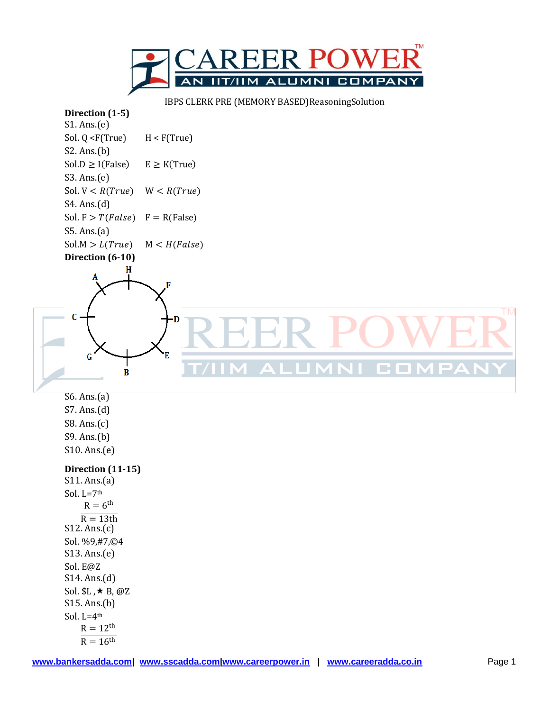

IBPS CLERK PRE (MEMORY BASED)ReasoningSolution

## **Direction (1-5)**

S1. Ans.(e) Sol.  $Q \leq F(Tru)$   $H \leq F(Tru)$ S2. Ans.(b)  $Sol.D \ge I (False)$   $E \ge K (True)$ S3. Ans.(e) Sol.  $V < R(True)$   $W < R(True)$ S4. Ans.(d) Sol.  $F > T(False)$   $F = R(False)$ S5. Ans.(a)  $Sol.M > L(True)$   $M < H(False)$ **Direction (6-10)**  $\mathbf H$ C **CON**  $\bf{B}$ S6. Ans.(a) S7. Ans.(d) S8. Ans.(c) S9. Ans.(b) S10. Ans.(e) **Direction (11-15)** S11. Ans.(a) Sol. L=7th  $R = 6^{th}$  $R = 13th$ S12. Ans.(c) Sol. %9,#7,©4 S13. Ans.(e) Sol. E@Z S14. Ans.(d) Sol.  $L, \star B, \varnothing Z$ S15. Ans.(b) Sol.  $L=4$ <sup>th</sup>  $R = 12^{th}$ 

 $R = 16$ <sup>th</sup>

**TM**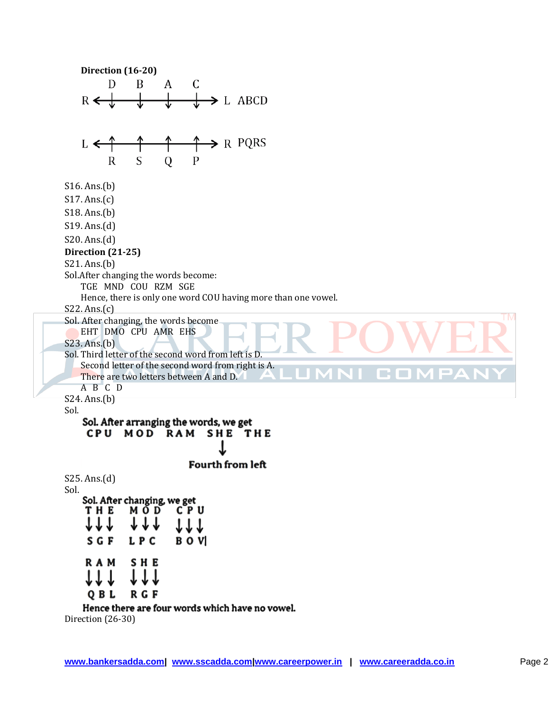**Direction (16-20)** D B A  $\mathsf C$  $\rightarrow$  L ABCD  $R \leftarrow \pm$  $\blacktriangleright$  R PQRS  $L \leftarrow$ S  $\mathbf R$ Q  $\mathbf{P}$ S16. Ans.(b) S17. Ans.(c) S18. Ans.(b) S19. Ans.(d) S20. Ans.(d) **Direction (21-25)** S21. Ans.(b) Sol.After changing the words become: TGE MND COU RZM SGE Hence, there is only one word COU having more than one vowel. S22. Ans.(c) **TM** Sol. After changing, the words become EHT DMO CPU AMR EHS S23. Ans.(b) Sol. Third letter of the second word from left is D. Second letter of the second word from right is A. There are two letters between A and D. A B C D S24. Ans.(b) Sol. Sol. After arranging the words, we get CPU MOD RAM SHE THE **Fourth from left** S25. Ans.(d) Sol. Sol. After changing, we get **THE** мо́р  $C<sub>P</sub>$  U 1 T T B O VI S G F L P C **RAM SHE** R G F OBL Hence there are four words which have no vowel.

Direction (26-30)